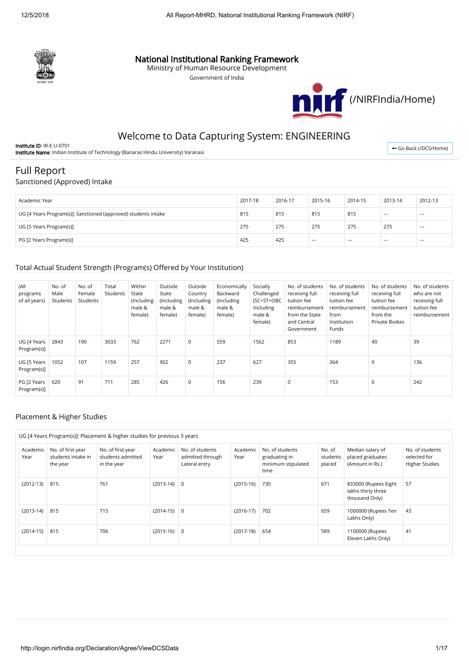

## National Institutional Ranking Framework

Ministry of Human Resource Development

Government of India



## Welcome to Data Capturing System: ENGINEERING

Institute ID: IR-E-U-0701 Institute Name: Indian Institute of Technology (Banaras Hindu University) Varanasi

← [Go Back \(/DCS/Home\)](http://login.nirfindia.org/DCS/Home)

# Full Report

#### Sanctioned (Approved) Intake

| Academic Year                                                  | 2017-18 | 2016-17 | 2015-16 | 2014-15 | 2013-14 | 2012-13 |
|----------------------------------------------------------------|---------|---------|---------|---------|---------|---------|
| UG [4 Years Program(s)]: Sanctioned (approved) students intake | 815     | 815     | 815     | 815     | $--$    | $--$    |
| UG [5 Years Program(s)]                                        | 275     | 275     | 275     | 275     | 275     | $- - -$ |
| PG [2 Years Program(s)]                                        | 425     | 425     | $---$   | $---$   | ---     | $- - -$ |

#### Total Actual Student Strength (Program(s) Offered by Your Institution)

| (All<br>programs<br>of all years) | No. of<br>Male<br>Students | No. of<br>Female<br>Students | Total<br>Students | Within<br>State<br>(Including<br>male &<br>female) | Outside<br>State<br>(Including<br>male &<br>female) | Outside<br>Country<br>(Including<br>male &<br>female) | Economically<br>Backward<br>(Including<br>male &<br>female) | Socially<br>Challenged<br>(SC+ST+OBC<br>Including<br>male &<br>female) | No. of students<br>receiving full<br>tuition fee<br>reimbursement<br>from the State<br>and Central<br>Government | No. of students<br>receiving full<br>tuition fee<br>reimbursement<br>from<br>Institution<br>Funds | No. of students<br>receiving full<br>tuition fee<br>reimbursement<br>from the<br>Private Bodies | No. of students<br>who are not<br>receiving full<br>tuition fee<br>reimbursement |
|-----------------------------------|----------------------------|------------------------------|-------------------|----------------------------------------------------|-----------------------------------------------------|-------------------------------------------------------|-------------------------------------------------------------|------------------------------------------------------------------------|------------------------------------------------------------------------------------------------------------------|---------------------------------------------------------------------------------------------------|-------------------------------------------------------------------------------------------------|----------------------------------------------------------------------------------|
| UG [4 Years<br>Program(s)]        | 2843                       | 190                          | 3033              | 762                                                | 2271                                                | 0                                                     | 559                                                         | 1562                                                                   | 853                                                                                                              | 1189                                                                                              | 40                                                                                              | 39                                                                               |
| UG [5 Years<br>Program(s)]        | 1052                       | 107                          | 1159              | 257                                                | 902                                                 | 0                                                     | 237                                                         | 627                                                                    | 355                                                                                                              | 364                                                                                               | 9                                                                                               | 136                                                                              |
| PG [2 Years<br>Program(s)]        | 620                        | 91                           | 711               | 285                                                | 426                                                 | 0                                                     | 156                                                         | 239                                                                    | 0                                                                                                                | 153                                                                                               | 0                                                                                               | 242                                                                              |

#### Placement & Higher Studies

| UG [4 Years Program(s)]: Placement & higher studies for previous 3 years |                                                     |                                                       |                  |                                                      |                  |                                                                |                              |                                                              |                                                          |
|--------------------------------------------------------------------------|-----------------------------------------------------|-------------------------------------------------------|------------------|------------------------------------------------------|------------------|----------------------------------------------------------------|------------------------------|--------------------------------------------------------------|----------------------------------------------------------|
| Academic<br>Year                                                         | No. of first year<br>students intake in<br>the year | No. of first year<br>students admitted<br>in the year | Academic<br>Year | No. of students<br>admitted through<br>Lateral entry | Academic<br>Year | No. of students<br>graduating in<br>minimum stipulated<br>time | No. of<br>students<br>placed | Median salary of<br>placed graduates<br>(Amount in Rs.)      | No. of students<br>selected for<br><b>Higher Studies</b> |
| $(2012-13)$                                                              | 815                                                 | 761                                                   | $(2013-14)$ 0    |                                                      | $(2015-16)$      | 730                                                            | 671                          | 833000 (Rupees Eight<br>lakhs thirty three<br>thousand Only) | 57                                                       |
| $(2013-14)$                                                              | 815                                                 | 715                                                   | $(2014-15)$ 0    |                                                      | $(2016-17)$      | 702                                                            | 659                          | 1000000 (Rupees Ten<br>Lakhs Only)                           | 43                                                       |
| $(2014-15)$                                                              | 815                                                 | 706                                                   | $(2015-16)$ 0    |                                                      | $(2017-18)$      | 654                                                            | 589                          | 1100000 (Rupees<br>Eleven Lakhs Only)                        | 41                                                       |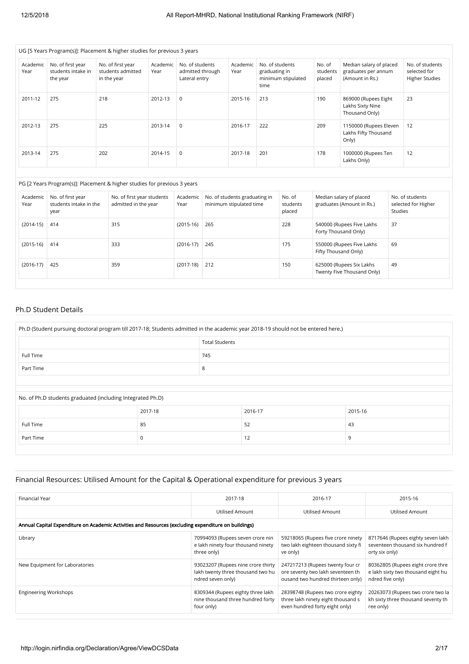|                  |                                                     | UG [5 Years Program(s)]: Placement & higher studies for previous 3 years |                  |                                                      |     |                                                                                          |                                          |                                                          |                                                        |                                                                   |         |                                                          |
|------------------|-----------------------------------------------------|--------------------------------------------------------------------------|------------------|------------------------------------------------------|-----|------------------------------------------------------------------------------------------|------------------------------------------|----------------------------------------------------------|--------------------------------------------------------|-------------------------------------------------------------------|---------|----------------------------------------------------------|
| Academic<br>Year | No. of first year<br>students intake in<br>the year | No. of first year<br>students admitted<br>in the year                    | Academic<br>Year | No. of students<br>admitted through<br>Lateral entry |     | Academic<br>Year                                                                         | No. of students<br>graduating in<br>time | minimum stipulated                                       | No. of<br>students<br>placed                           | Median salary of placed<br>graduates per annum<br>(Amount in Rs.) |         | No. of students<br>selected for<br><b>Higher Studies</b> |
| 2011-12          | 275                                                 | 218                                                                      | 2012-13          | $\mathbf 0$                                          |     | 2015-16                                                                                  | 213                                      |                                                          | 190                                                    | 869000 (Rupees Eight<br>Lakhs Sixty Nine<br>Thousand Only)        |         | 23                                                       |
| 2012-13          | 275                                                 | 225                                                                      | 2013-14          | $\mathbf 0$                                          |     | 2016-17                                                                                  | 222                                      |                                                          | 209                                                    | 1150000 (Rupees Eleven<br>Lakhs Fifty Thousand<br>Only)           |         | 12                                                       |
| 2013-14          | 275                                                 | 202                                                                      | 2014-15          | $\mathbf 0$                                          |     | 2017-18                                                                                  | 201                                      |                                                          | 178                                                    | 1000000 (Rupees Ten<br>Lakhs Only)                                |         | 12                                                       |
|                  |                                                     | PG [2 Years Program(s)]: Placement & higher studies for previous 3 years |                  |                                                      |     |                                                                                          |                                          |                                                          |                                                        |                                                                   |         |                                                          |
| Academic<br>Year | No. of first year<br>students intake in the<br>year | No. of first year students<br>admitted in the year                       |                  | Academic<br>Year                                     |     | No. of students graduating in<br>No. of<br>minimum stipulated time<br>students<br>placed |                                          |                                                          | Median salary of placed<br>graduates (Amount in Rs.)   |                                                                   | Studies | No. of students<br>selected for Higher                   |
| $(2014-15)$      | 414                                                 | 315                                                                      |                  | $(2015-16)$                                          | 265 |                                                                                          |                                          | 228<br>540000 (Rupees Five Lakhs<br>Forty Thousand Only) |                                                        |                                                                   | 37      |                                                          |
| $(2015-16)$      | 414                                                 | 333                                                                      |                  | $(2016-17)$                                          | 245 |                                                                                          |                                          | 175                                                      | 550000 (Rupees Five Lakhs<br>Fifty Thousand Only)      |                                                                   | 69      |                                                          |
| $(2016-17)$      | 425                                                 | 359                                                                      |                  | $(2017-18)$                                          | 212 |                                                                                          |                                          | 150                                                      | 625000 (Rupees Six Lakhs<br>Twenty Five Thousand Only) |                                                                   | 49      |                                                          |

#### Ph.D Student Details

| Ph.D (Student pursuing doctoral program till 2017-18; Students admitted in the academic year 2018-19 should not be entered here.) |         |   |         |         |  |  |  |
|-----------------------------------------------------------------------------------------------------------------------------------|---------|---|---------|---------|--|--|--|
| <b>Total Students</b>                                                                                                             |         |   |         |         |  |  |  |
| 745<br>Full Time                                                                                                                  |         |   |         |         |  |  |  |
| Part Time                                                                                                                         |         | 8 |         |         |  |  |  |
|                                                                                                                                   |         |   |         |         |  |  |  |
| No. of Ph.D students graduated (including Integrated Ph.D)                                                                        |         |   |         |         |  |  |  |
|                                                                                                                                   | 2017-18 |   | 2016-17 | 2015-16 |  |  |  |
| Full Time                                                                                                                         | 85      |   | 52      | 43      |  |  |  |
| Part Time                                                                                                                         | 12<br>9 |   |         |         |  |  |  |
|                                                                                                                                   |         |   |         |         |  |  |  |

## Financial Resources: Utilised Amount for the Capital & Operational expenditure for previous 3 years

| Financial Year                                                                                       | 2017-18                                                                                      | 2016-17                                                                                                    | 2015-16                                                                                     |  |  |  |  |  |
|------------------------------------------------------------------------------------------------------|----------------------------------------------------------------------------------------------|------------------------------------------------------------------------------------------------------------|---------------------------------------------------------------------------------------------|--|--|--|--|--|
|                                                                                                      | Utilised Amount                                                                              | Utilised Amount                                                                                            | Utilised Amount                                                                             |  |  |  |  |  |
| Annual Capital Expenditure on Academic Activities and Resources (excluding expenditure on buildings) |                                                                                              |                                                                                                            |                                                                                             |  |  |  |  |  |
| Library                                                                                              | 70994093 (Rupees seven crore nin<br>e lakh ninety four thousand ninety<br>three only)        | 59218065 (Rupees five crore ninety<br>two lakh eighteen thousand sixty fi<br>ve only)                      | 8717646 (Rupees eighty seven lakh<br>seventeen thousand six hundred f<br>orty six only)     |  |  |  |  |  |
| New Equipment for Laboratories                                                                       | 93023207 (Rupees nine crore thirty<br>lakh twenty three thousand two hu<br>ndred seven only) | 247217213 (Rupees twenty four cr<br>ore seventy two lakh seventeen th<br>ousand two hundred thirteen only) | 80362805 (Rupees eight crore thre<br>e lakh sixty two thousand eight hu<br>ndred five only) |  |  |  |  |  |
| <b>Engineering Workshops</b>                                                                         | 8309344 (Rupees eighty three lakh<br>nine thousand three hundred forty<br>four only)         | 28398748 (Rupees two crore eighty<br>three lakh ninety eight thousand s<br>even hundred forty eight only)  | 20263073 (Rupees two crore two la<br>kh sixty three thousand seventy th<br>ree only)        |  |  |  |  |  |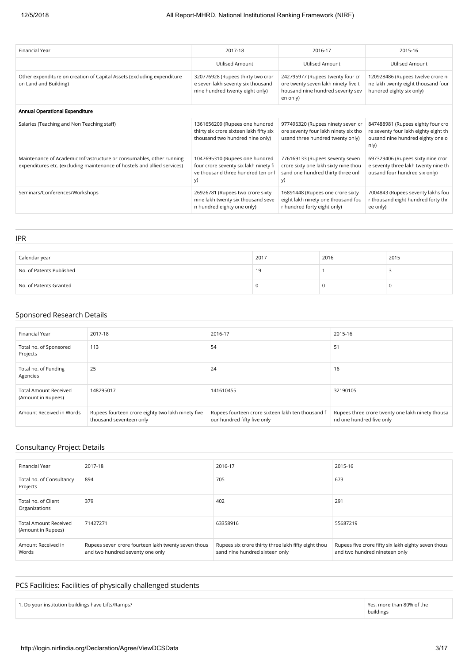| Financial Year                                                                                                                                   | 2017-18                                                                                                            | 2016-17                                                                                                                 | 2015-16                                                                                                               |  |  |  |
|--------------------------------------------------------------------------------------------------------------------------------------------------|--------------------------------------------------------------------------------------------------------------------|-------------------------------------------------------------------------------------------------------------------------|-----------------------------------------------------------------------------------------------------------------------|--|--|--|
|                                                                                                                                                  | <b>Utilised Amount</b>                                                                                             | <b>Utilised Amount</b>                                                                                                  | <b>Utilised Amount</b>                                                                                                |  |  |  |
| Other expenditure on creation of Capital Assets (excluding expenditure<br>on Land and Building)                                                  | 320776928 (Rupees thirty two cror<br>e seven lakh seventy six thousand<br>nine hundred twenty eight only)          | 242795977 (Rupees twenty four cr<br>ore twenty seven lakh ninety five t<br>housand nine hundred seventy sev<br>en only) | 120928486 (Rupees twelve crore ni<br>ne lakh twenty eight thousand four<br>hundred eighty six only)                   |  |  |  |
| Annual Operational Expenditure                                                                                                                   |                                                                                                                    |                                                                                                                         |                                                                                                                       |  |  |  |
| Salaries (Teaching and Non Teaching staff)                                                                                                       | 1361656209 (Rupees one hundred<br>thirty six crore sixteen lakh fifty six<br>thousand two hundred nine only)       | 977496320 (Rupees ninety seven cr<br>ore seventy four lakh ninety six tho<br>usand three hundred twenty only)           | 847488981 (Rupees eighty four cro<br>re seventy four lakh eighty eight th<br>ousand nine hundred eighty one o<br>n y) |  |  |  |
| Maintenance of Academic Infrastructure or consumables, other running<br>expenditures etc. (excluding maintenance of hostels and allied services) | 1047695310 (Rupees one hundred<br>four crore seventy six lakh ninety fi<br>ve thousand three hundred ten onl<br>V) | 776169133 (Rupees seventy seven<br>crore sixty one lakh sixty nine thou<br>sand one hundred thirty three onl<br>y)      | 697329406 (Rupees sixty nine cror<br>e seventy three lakh twenty nine th<br>ousand four hundred six only)             |  |  |  |
| Seminars/Conferences/Workshops                                                                                                                   | 26926781 (Rupees two crore sixty<br>nine lakh twenty six thousand seve<br>n hundred eighty one only)               | 16891448 (Rupees one crore sixty<br>eight lakh ninety one thousand fou<br>r hundred forty eight only)                   | 7004843 (Rupees seventy lakhs fou<br>r thousand eight hundred forty thr<br>ee only)                                   |  |  |  |

| Calendar year            | 2017 | 2016 | 2015 |
|--------------------------|------|------|------|
| No. of Patents Published | 19   |      |      |
| No. of Patents Granted   |      | u    | -0   |

#### Sponsored Research Details

IPR

| Financial Year                                     | 2017-18                                                                      | 2016-17                                                                          | 2015-16                                                                      |
|----------------------------------------------------|------------------------------------------------------------------------------|----------------------------------------------------------------------------------|------------------------------------------------------------------------------|
| Total no. of Sponsored<br>Projects                 | 113                                                                          | 54                                                                               | 51                                                                           |
| Total no. of Funding<br>Agencies                   | 25                                                                           | 24                                                                               | 16                                                                           |
| <b>Total Amount Received</b><br>(Amount in Rupees) | 148295017                                                                    | 141610455                                                                        | 32190105                                                                     |
| Amount Received in Words                           | Rupees fourteen crore eighty two lakh ninety five<br>thousand seventeen only | Rupees fourteen crore sixteen lakh ten thousand f<br>our hundred fifty five only | Rupees three crore twenty one lakh ninety thousa<br>nd one hundred five only |

#### Consultancy Project Details

| Financial Year                                     | 2017-18                                                                                 | 2016-17                                                                               | 2015-16                                                                              |
|----------------------------------------------------|-----------------------------------------------------------------------------------------|---------------------------------------------------------------------------------------|--------------------------------------------------------------------------------------|
| Total no. of Consultancy<br>Projects               | 894                                                                                     | 705                                                                                   | 673                                                                                  |
| Total no. of Client<br>Organizations               | 379                                                                                     | 402                                                                                   | 291                                                                                  |
| <b>Total Amount Received</b><br>(Amount in Rupees) | 71427271                                                                                | 63358916                                                                              | 55687219                                                                             |
| Amount Received in<br>Words                        | Rupees seven crore fourteen lakh twenty seven thous<br>and two hundred seventy one only | Rupees six crore thirty three lakh fifty eight thou<br>sand nine hundred sixteen only | Rupees five crore fifty six lakh eighty seven thous<br>and two hundred nineteen only |

## PCS Facilities: Facilities of physically challenged students

Yes, more than 80% of the buildings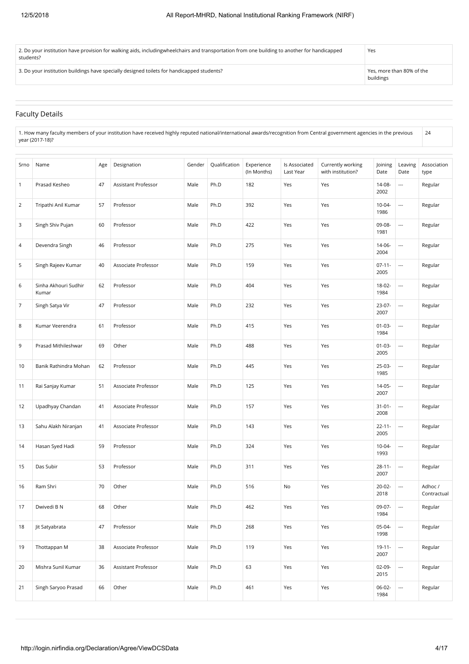| 2. Do your institution have provision for walking aids, includingwheelchairs and transportation from one building to another for handicapped<br>students? | Yes                                    |
|-----------------------------------------------------------------------------------------------------------------------------------------------------------|----------------------------------------|
| 3. Do your institution buildings have specially designed toilets for handicapped students?                                                                | Yes, more than 80% of the<br>buildings |

#### Faculty Details

| $^{\circ}$ 1. How many faculty members of your institution have received highly reputed national/international awards/recognition from Central government agencies in the previous |  |
|------------------------------------------------------------------------------------------------------------------------------------------------------------------------------------|--|
| vear (2017-18)?                                                                                                                                                                    |  |

| Srno           | Name                          | Age | Designation         | Gender | Qualification | Experience<br>(In Months) | Is Associated<br>Last Year | Currently working<br>with institution? | Joining<br>Date     | Leaving<br>Date          | Association<br>type    |
|----------------|-------------------------------|-----|---------------------|--------|---------------|---------------------------|----------------------------|----------------------------------------|---------------------|--------------------------|------------------------|
| $\mathbf{1}$   | Prasad Kesheo                 | 47  | Assistant Professor | Male   | Ph.D          | 182                       | Yes                        | Yes                                    | 14-08-<br>2002      | ---                      | Regular                |
| $\overline{2}$ | Tripathi Anil Kumar           | 57  | Professor           | Male   | Ph.D          | 392                       | Yes                        | Yes                                    | $10 - 04$<br>1986   | $\overline{\phantom{a}}$ | Regular                |
| 3              | Singh Shiv Pujan              | 60  | Professor           | Male   | Ph.D          | 422                       | Yes                        | Yes                                    | 09-08-<br>1981      | $\overline{a}$           | Regular                |
| 4              | Devendra Singh                | 46  | Professor           | Male   | Ph.D          | 275                       | Yes                        | Yes                                    | 14-06-<br>2004      | $\overline{a}$           | Regular                |
| 5              | Singh Rajeev Kumar            | 40  | Associate Professor | Male   | Ph.D          | 159                       | Yes                        | Yes                                    | $07-11-$<br>2005    | $\overline{\phantom{a}}$ | Regular                |
| 6              | Sinha Akhouri Sudhir<br>Kumar | 62  | Professor           | Male   | Ph.D          | 404                       | Yes                        | Yes                                    | 18-02-<br>1984      | $\overline{\phantom{a}}$ | Regular                |
| 7              | Singh Satya Vir               | 47  | Professor           | Male   | Ph.D          | 232                       | Yes                        | Yes                                    | 23-07-<br>2007      | $\overline{\phantom{a}}$ | Regular                |
| 8              | Kumar Veerendra               | 61  | Professor           | Male   | Ph.D          | 415                       | Yes                        | Yes                                    | $01 - 03 -$<br>1984 | ---                      | Regular                |
| 9              | Prasad Mithileshwar           | 69  | Other               | Male   | Ph.D          | 488                       | Yes                        | Yes                                    | $01 - 03 -$<br>2005 | ---                      | Regular                |
| 10             | Banik Rathindra Mohan         | 62  | Professor           | Male   | Ph.D          | 445                       | Yes                        | Yes                                    | 25-03-<br>1985      | $\overline{a}$           | Regular                |
| 11             | Rai Sanjay Kumar              | 51  | Associate Professor | Male   | Ph.D          | 125                       | Yes                        | Yes                                    | 14-05-<br>2007      | $\overline{a}$           | Regular                |
| 12             | Upadhyay Chandan              | 41  | Associate Professor | Male   | Ph.D          | 157                       | Yes                        | Yes                                    | $31 - 01 -$<br>2008 | $\overline{a}$           | Regular                |
| 13             | Sahu Alakh Niranjan           | 41  | Associate Professor | Male   | Ph.D          | 143                       | Yes                        | Yes                                    | $22 - 11 -$<br>2005 | $\overline{a}$           | Regular                |
| 14             | Hasan Syed Hadi               | 59  | Professor           | Male   | Ph.D          | 324                       | Yes                        | Yes                                    | $10 - 04 -$<br>1993 | $\overline{a}$           | Regular                |
| 15             | Das Subir                     | 53  | Professor           | Male   | Ph.D          | 311                       | Yes                        | Yes                                    | $28 - 11 -$<br>2007 | $\overline{a}$           | Regular                |
| 16             | Ram Shri                      | 70  | Other               | Male   | Ph.D          | 516                       | No                         | Yes                                    | $20 - 02 -$<br>2018 | $\ldots$                 | Adhoc /<br>Contractual |
| 17             | Dwivedi B N                   | 68  | Other               | Male   | Ph.D          | 462                       | Yes                        | Yes                                    | 09-07-<br>1984      | $\overline{\phantom{a}}$ | Regular                |
| 18             | Jit Satyabrata                | 47  | Professor           | Male   | Ph.D          | 268                       | Yes                        | Yes                                    | 05-04-<br>1998      | $\overline{\phantom{a}}$ | Regular                |
| 19             | Thottappan M                  | 38  | Associate Professor | Male   | Ph.D          | 119                       | Yes                        | Yes                                    | $19 - 11 -$<br>2007 | $\overline{\phantom{a}}$ | Regular                |
| 20             | Mishra Sunil Kumar            | 36  | Assistant Professor | Male   | Ph.D          | 63                        | Yes                        | Yes                                    | $02-09-$<br>2015    | $\overline{\phantom{a}}$ | Regular                |
| 21             | Singh Saryoo Prasad           | 66  | Other               | Male   | Ph.D          | 461                       | Yes                        | Yes                                    | $06-02-$<br>1984    | $\overline{\phantom{a}}$ | Regular                |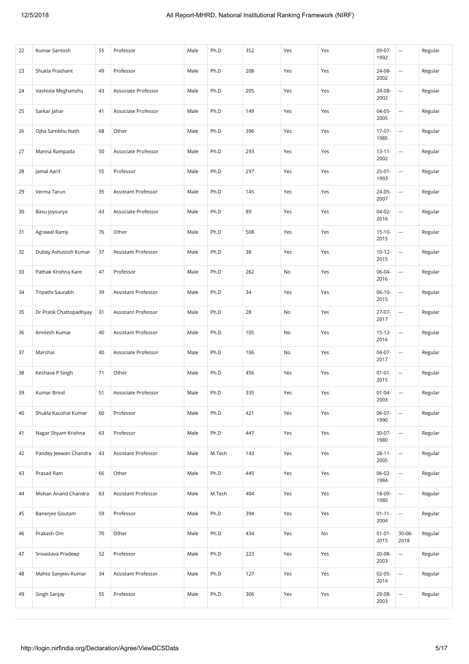| 22 | Kumar Santosh           | 55 | Professor           | Male | Ph.D   | 352 | Yes | Yes | 09-07-<br>1992      | $\overline{\phantom{a}}$ | Regular |
|----|-------------------------|----|---------------------|------|--------|-----|-----|-----|---------------------|--------------------------|---------|
| 23 | Shukla Prashant         | 49 | Professor           | Male | Ph.D   | 208 | Yes | Yes | 24-08-<br>2002      | $\overline{\phantom{a}}$ | Regular |
| 24 | Vashista Meghanshu      | 43 | Associate Professor | Male | Ph.D   | 205 | Yes | Yes | 24-08-<br>2002      | $\overline{\phantom{a}}$ | Regular |
| 25 | Sarkar Jahar            | 41 | Associate Professor | Male | Ph.D   | 149 | Yes | Yes | 04-05-<br>2005      | $\overline{\phantom{a}}$ | Regular |
| 26 | Ojha Sambhu Nath        | 68 | Other               | Male | Ph.D   | 396 | Yes | Yes | 17-07-<br>1985      |                          | Regular |
| 27 | Manna Rampada           | 50 | Associate Professor | Male | Ph.D   | 293 | Yes | Yes | $13 - 11 -$<br>2002 | $\overline{\phantom{a}}$ | Regular |
| 28 | Jamal Aarif             | 55 | Professor           | Male | Ph.D   | 297 | Yes | Yes | $25 - 01 -$<br>1993 | $\overline{\phantom{a}}$ | Regular |
| 29 | Verma Tarun             | 35 | Assistant Professor | Male | Ph.D   | 145 | Yes | Yes | 24-05-<br>2007      | $\overline{\phantom{a}}$ | Regular |
| 30 | Basu Joysurya           | 43 | Associate Professor | Male | Ph.D   | 89  | Yes | Yes | $04-02-$<br>2016    | $\overline{\phantom{a}}$ | Regular |
| 31 | Agrawal Ramji           | 76 | Other               | Male | Ph.D   | 508 | Yes | Yes | $15-10-$<br>2015    | $\overline{\phantom{a}}$ | Regular |
| 32 | Dubey Ashutosh Kumar    | 37 | Assistant Professor | Male | Ph.D   | 38  | Yes | Yes | $10-12-$<br>2015    | $\overline{\phantom{a}}$ | Regular |
| 33 | Pathak Krishna Kant     | 47 | Professor           | Male | Ph.D   | 262 | No  | Yes | 06-04-<br>2016      | $\overline{\phantom{a}}$ | Regular |
| 34 | Tripathi Saurabh        | 39 | Assistant Professor | Male | Ph.D   | 34  | Yes | Yes | $06-10-$<br>2015    |                          | Regular |
| 35 | Dr Pratik Chattopadhyay | 31 | Assistant Professor | Male | Ph.D   | 28  | No  | Yes | 27-07-<br>2017      |                          | Regular |
| 36 | Amitesh Kumar           | 40 | Assistant Professor | Male | Ph.D   | 105 | No  | Yes | $15 - 12 -$<br>2016 | $\overline{\phantom{a}}$ | Regular |
| 37 | Marshal                 | 40 | Associate Professor | Male | Ph.D   | 106 | No  | Yes | $04-07-$<br>2017    |                          | Regular |
| 38 | Keshava P Singh         | 71 | Other               | Male | Ph.D   | 456 | Yes | Yes | $01 - 01 -$<br>2015 | $\overline{\phantom{a}}$ | Regular |
| 39 | Kumar Brind             | 51 | Associate Professor | Male | Ph.D   | 335 | Yes | Yes | $01 - 04 -$<br>2003 | $\overline{\phantom{a}}$ | Regular |
| 40 | Shukla Kaushal Kumar    | 60 | Professor           | Male | Ph.D   | 421 | Yes | Yes | 06-07-<br>1990      | $\overline{\phantom{a}}$ | Regular |
| 41 | Nagar Shyam Krishna     | 63 | Professor           | Male | Ph.D   | 447 | Yes | Yes | 30-07-<br>1980      |                          | Regular |
| 42 | Pandey Jeewan Chandra   | 43 | Assistant Professor | Male | M.Tech | 143 | Yes | Yes | $28 - 11 -$<br>2005 | $\overline{\phantom{a}}$ | Regular |
| 43 | Prasad Ram              | 66 | Other               | Male | Ph.D   | 445 | Yes | Yes | 06-02-<br>1984      | $\overline{\phantom{a}}$ | Regular |
| 44 | Mohan Anand Chandra     | 63 | Assistant Professor | Male | M.Tech | 404 | Yes | Yes | 18-09-<br>1980      | $\overline{\phantom{a}}$ | Regular |
| 45 | Banerjee Goutam         | 59 | Professor           | Male | Ph.D   | 394 | Yes | Yes | $01 - 11 -$<br>2004 |                          | Regular |
| 46 | Prakash Om              | 70 | Other               | Male | Ph.D   | 434 | Yes | No  | $01 - 01 -$<br>2015 | $30 - 06 -$<br>2018      | Regular |
| 47 | Srivastava Pradeep      | 52 | Professor           | Male | Ph.D   | 223 | Yes | Yes | $20 - 08 -$<br>2003 | $\overline{\phantom{a}}$ | Regular |
| 48 | Mahto Sanjeev Kumar     | 34 | Assistant Professor | Male | Ph.D   | 127 | Yes | Yes | $02-05-$<br>2014    | $\overline{\phantom{a}}$ | Regular |
| 49 | Singh Sanjay            | 55 | Professor           | Male | Ph.D   | 306 | Yes | Yes | 29-08-<br>2003      |                          | Regular |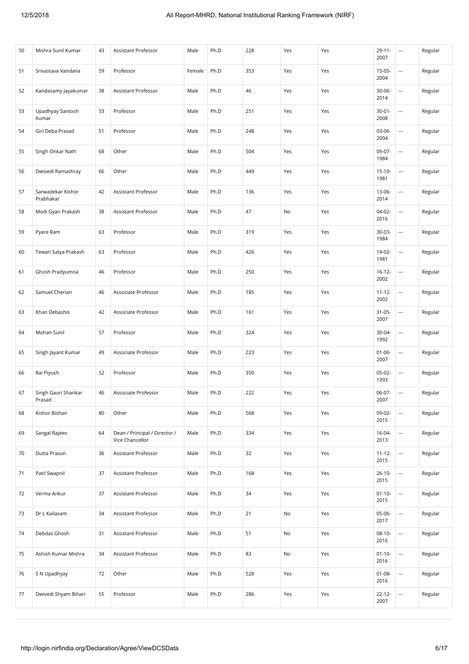| 50 | Mishra Sunil Kumar             | 43 | Assistant Professor                              | Male   | Ph.D | 228 | Yes | Yes | $29 - 11 -$<br>2007 | $\overline{\phantom{a}}$ | Regular |
|----|--------------------------------|----|--------------------------------------------------|--------|------|-----|-----|-----|---------------------|--------------------------|---------|
| 51 | Srivastava Vandana             | 59 | Professor                                        | Female | Ph.D | 353 | Yes | Yes | $15-05-$<br>2004    | $\overline{\phantom{a}}$ | Regular |
| 52 | Kandasamy Jayakumar            | 38 | Assistant Professor                              | Male   | Ph.D | 46  | Yes | Yes | $30 - 06 -$<br>2014 | $\overline{\phantom{a}}$ | Regular |
| 53 | Upadhyay Santosh<br>Kumar      | 53 | Professor                                        | Male   | Ph.D | 251 | Yes | Yes | $30 - 01 -$<br>2008 | $\overline{\phantom{a}}$ | Regular |
| 54 | Giri Deba Prasad               | 51 | Professor                                        | Male   | Ph.D | 248 | Yes | Yes | $03-06-$<br>2004    | $\overline{\phantom{a}}$ | Regular |
| 55 | Singh Onkar Nath               | 68 | Other                                            | Male   | Ph.D | 504 | Yes | Yes | 09-07-<br>1984      | $\overline{\phantom{a}}$ | Regular |
| 56 | Dwivedi Ramashray              | 66 | Other                                            | Male   | Ph.D | 449 | Yes | Yes | $15 - 10 -$<br>1981 | $\overline{\phantom{a}}$ | Regular |
| 57 | Sarwadekar Kishor<br>Prabhakar | 42 | Assistant Professor                              | Male   | Ph.D | 136 | Yes | Yes | 13-06-<br>2014      | $\overline{\phantom{a}}$ | Regular |
| 58 | Modi Gyan Prakash              | 38 | Assistant Professor                              | Male   | Ph.D | 47  | No  | Yes | $04-02-$<br>2016    |                          | Regular |
| 59 | Pyare Ram                      | 63 | Professor                                        | Male   | Ph.D | 319 | Yes | Yes | $30-03-$<br>1984    | $\overline{\phantom{a}}$ | Regular |
| 60 | Tewari Satya Prakash           | 63 | Professor                                        | Male   | Ph.D | 426 | Yes | Yes | 14-02-<br>1981      | $\overline{\phantom{a}}$ | Regular |
| 61 | Ghosh Pradyumna                | 46 | Professor                                        | Male   | Ph.D | 250 | Yes | Yes | $16 - 12 -$<br>2002 | $\overline{\phantom{a}}$ | Regular |
| 62 | Samuel Cherian                 | 46 | Associate Professor                              | Male   | Ph.D | 185 | Yes | Yes | $11 - 12 -$<br>2002 | $\overline{\phantom{a}}$ | Regular |
| 63 | Khan Debashis                  | 42 | Associate Professor                              | Male   | Ph.D | 161 | Yes | Yes | $31 - 05 -$<br>2007 | $\overline{\phantom{a}}$ | Regular |
| 64 | Mohan Sunil                    | 57 | Professor                                        | Male   | Ph.D | 324 | Yes | Yes | 30-04-<br>1992      | $\overline{\phantom{a}}$ | Regular |
| 65 | Singh Jayant Kumar             | 49 | Associate Professor                              | Male   | Ph.D | 223 | Yes | Yes | $01 - 06 -$<br>2007 | $\overline{\phantom{a}}$ | Regular |
| 66 | Rai Piyush                     | 52 | Professor                                        | Male   | Ph.D | 350 | Yes | Yes | $05-02-$<br>1993    | $\overline{\phantom{a}}$ | Regular |
| 67 | Singh Gauri Shankar<br>Prasad  | 46 | Associate Professor                              | Male   | Ph.D | 222 | Yes | Yes | 06-07-<br>2007      | $\overline{\phantom{a}}$ | Regular |
| 68 | Kishor Bishan                  | 80 | Other                                            | Male   | Ph.D | 568 | Yes | Yes | 09-02-<br>2015      | $\overline{\phantom{a}}$ | Regular |
| 69 | Sangal Rajeev                  | 64 | Dean / Principal / Director /<br>Vice Chancellor | Male   | Ph.D | 334 | Yes | Yes | 16-04-<br>2013      | $\overline{\phantom{a}}$ | Regular |
| 70 | Dutta Prasun                   | 36 | Assistant Professor                              | Male   | Ph.D | 32  | Yes | Yes | $11 - 12 -$<br>2015 | $\overline{\phantom{a}}$ | Regular |
| 71 | Patil Swapnil                  | 37 | <b>Assistant Professor</b>                       | Male   | Ph.D | 168 | Yes | Yes | $26 - 10 -$<br>2015 | $\ldots$                 | Regular |
| 72 | Verma Ankur                    | 37 | Assistant Professor                              | Male   | Ph.D | 34  | Yes | Yes | $01 - 10 -$<br>2015 | $\overline{\phantom{a}}$ | Regular |
| 73 | Dr L Kailasam                  | 34 | Assistant Professor                              | Male   | Ph.D | 21  | No  | Yes | 05-06-<br>2017      | $\overline{\phantom{a}}$ | Regular |
| 74 | Debdas Ghosh                   | 31 | Assistant Professor                              | Male   | Ph.D | 51  | No  | Yes | $08-10-$<br>2016    | $\overline{\phantom{a}}$ | Regular |
| 75 | Ashish Kumar Mishra            | 34 | Assistant Professor                              | Male   | Ph.D | 83  | No  | Yes | $01 - 10 -$<br>2016 | $\ldots$                 | Regular |
| 76 | S N Upadhyay                   | 72 | Other                                            | Male   | Ph.D | 528 | Yes | Yes | $01 - 08 -$<br>2016 | $\overline{\phantom{a}}$ | Regular |
| 77 | Dwivedi Shyam Bihari           | 55 | Professor                                        | Male   | Ph.D | 286 | Yes | Yes | $22 - 12 -$<br>2007 | $\overline{\phantom{a}}$ | Regular |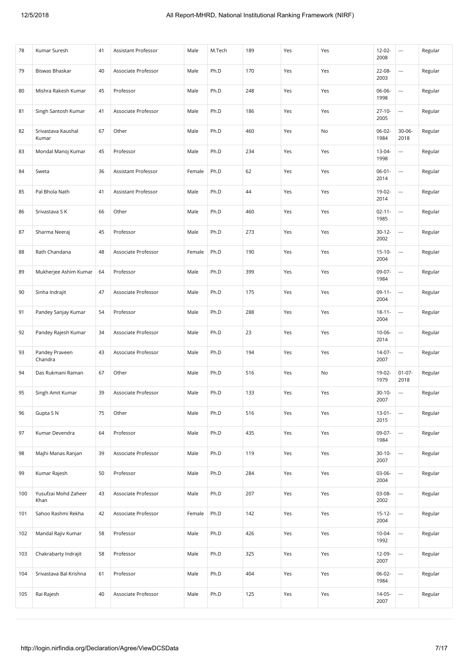| 78  | Kumar Suresh                 | 41 | Assistant Professor | Male   | M.Tech | 189 | Yes | Yes | 12-02-<br>2008      | $\overline{\phantom{a}}$ | Regular |
|-----|------------------------------|----|---------------------|--------|--------|-----|-----|-----|---------------------|--------------------------|---------|
| 79  | Biswas Bhaskar               | 40 | Associate Professor | Male   | Ph.D   | 170 | Yes | Yes | 22-08-<br>2003      | ---                      | Regular |
| 80  | Mishra Rakesh Kumar          | 45 | Professor           | Male   | Ph.D   | 248 | Yes | Yes | 06-06-<br>1998      | ---                      | Regular |
| 81  | Singh Santosh Kumar          | 41 | Associate Professor | Male   | Ph.D   | 186 | Yes | Yes | $27 - 10 -$<br>2005 | ---                      | Regular |
| 82  | Srivastava Kaushal<br>Kumar  | 67 | Other               | Male   | Ph.D   | 460 | Yes | No  | 06-02-<br>1984      | $30 - 06 -$<br>2018      | Regular |
| 83  | Mondal Manoj Kumar           | 45 | Professor           | Male   | Ph.D   | 234 | Yes | Yes | 13-04-<br>1998      | $\overline{\phantom{a}}$ | Regular |
| 84  | Sweta                        | 36 | Assistant Professor | Female | Ph.D   | 62  | Yes | Yes | $06 - 01 -$<br>2014 | ---                      | Regular |
| 85  | Pal Bhola Nath               | 41 | Assistant Professor | Male   | Ph.D   | 44  | Yes | Yes | 19-02-<br>2014      | ---                      | Regular |
| 86  | Srivastava S K               | 66 | Other               | Male   | Ph.D   | 460 | Yes | Yes | $02 - 11 -$<br>1985 | $\overline{\phantom{a}}$ | Regular |
| 87  | Sharma Neeraj                | 45 | Professor           | Male   | Ph.D   | 273 | Yes | Yes | $30 - 12 -$<br>2002 | ---                      | Regular |
| 88  | Rath Chandana                | 48 | Associate Professor | Female | Ph.D   | 190 | Yes | Yes | $15-10-$<br>2004    | $\overline{\phantom{a}}$ | Regular |
| 89  | Mukherjee Ashim Kumar        | 64 | Professor           | Male   | Ph.D   | 399 | Yes | Yes | 09-07-<br>1984      | $\overline{\phantom{a}}$ | Regular |
| 90  | Sinha Indrajit               | 47 | Associate Professor | Male   | Ph.D   | 175 | Yes | Yes | $09-11-$<br>2004    | $\overline{\phantom{a}}$ | Regular |
| 91  | Pandey Sanjay Kumar          | 54 | Professor           | Male   | Ph.D   | 288 | Yes | Yes | $18 - 11 -$<br>2004 | ---                      | Regular |
| 92  | Pandey Rajesh Kumar          | 34 | Associate Professor | Male   | Ph.D   | 23  | Yes | Yes | $10 - 06 -$<br>2014 | $\overline{\phantom{a}}$ | Regular |
| 93  | Pandey Praveen<br>Chandra    | 43 | Associate Professor | Male   | Ph.D   | 194 | Yes | Yes | 14-07-<br>2007      | $\overline{\phantom{a}}$ | Regular |
| 94  | Das Rukmani Raman            | 67 | Other               | Male   | Ph.D   | 516 | Yes | No  | 19-02-<br>1979      | $01 - 07 -$<br>2018      | Regular |
| 95  | Singh Amit Kumar             | 39 | Associate Professor | Male   | Ph.D   | 133 | Yes | Yes | $30 - 10 -$<br>2007 | $\overline{\phantom{a}}$ | Regular |
| 96  | Gupta S N                    | 75 | Other               | Male   | Ph.D   | 516 | Yes | Yes | $13 - 01 -$<br>2015 | $\overline{\phantom{a}}$ | Regular |
| 97  | Kumar Devendra               | 64 | Professor           | Male   | Ph.D   | 435 | Yes | Yes | 09-07-<br>1984      | $\overline{\phantom{a}}$ | Regular |
| 98  | Majhi Manas Ranjan           | 39 | Associate Professor | Male   | Ph.D   | 119 | Yes | Yes | $30-10-$<br>2007    | $\overline{\phantom{a}}$ | Regular |
| 99  | Kumar Rajesh                 | 50 | Professor           | Male   | Ph.D   | 284 | Yes | Yes | 03-06-<br>2004      | $\overline{a}$           | Regular |
| 100 | Yusufzai Mohd Zaheer<br>Khan | 43 | Associate Professor | Male   | Ph.D   | 207 | Yes | Yes | 03-08-<br>2002      | $\overline{\phantom{a}}$ | Regular |
| 101 | Sahoo Rashmi Rekha           | 42 | Associate Professor | Female | Ph.D   | 142 | Yes | Yes | $15 - 12 -$<br>2004 | $\hspace{0.05cm} \ldots$ | Regular |
| 102 | Mandal Rajiv Kumar           | 58 | Professor           | Male   | Ph.D   | 426 | Yes | Yes | $10-04-$<br>1992    | $\overline{\phantom{a}}$ | Regular |
| 103 | Chakrabarty Indrajit         | 58 | Professor           | Male   | Ph.D   | 325 | Yes | Yes | 12-09-<br>2007      | $\overline{\phantom{a}}$ | Regular |
| 104 | Srivastava Bal Krishna       | 61 | Professor           | Male   | Ph.D   | 404 | Yes | Yes | 06-02-<br>1984      | $\overline{\phantom{a}}$ | Regular |
| 105 | Rai Rajesh                   | 40 | Associate Professor | Male   | Ph.D   | 125 | Yes | Yes | 14-05-<br>2007      | $\overline{\phantom{a}}$ | Regular |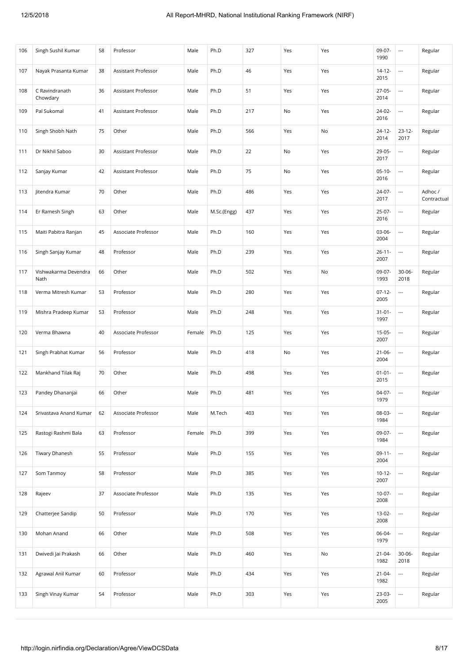| 106 | Singh Sushil Kumar           | 58 | Professor           | Male   | Ph.D        | 327 | Yes | Yes | 09-07-<br>1990      | $\overline{\phantom{a}}$ | Regular                |
|-----|------------------------------|----|---------------------|--------|-------------|-----|-----|-----|---------------------|--------------------------|------------------------|
| 107 | Nayak Prasanta Kumar         | 38 | Assistant Professor | Male   | Ph.D        | 46  | Yes | Yes | $14 - 12 -$<br>2015 | $\overline{\phantom{a}}$ | Regular                |
| 108 | C Ravindranath<br>Chowdary   | 36 | Assistant Professor | Male   | Ph.D        | 51  | Yes | Yes | $27-05-$<br>2014    | $\overline{\phantom{a}}$ | Regular                |
| 109 | Pal Sukomal                  | 41 | Assistant Professor | Male   | Ph.D        | 217 | No  | Yes | 24-02-<br>2016      |                          | Regular                |
| 110 | Singh Shobh Nath             | 75 | Other               | Male   | Ph.D        | 566 | Yes | No  | $24 - 12 -$<br>2014 | $23 - 12 -$<br>2017      | Regular                |
| 111 | Dr Nikhil Saboo              | 30 | Assistant Professor | Male   | Ph.D        | 22  | No  | Yes | 29-05-<br>2017      | $\overline{\phantom{a}}$ | Regular                |
| 112 | Sanjay Kumar                 | 42 | Assistant Professor | Male   | Ph.D        | 75  | No  | Yes | $05-10-$<br>2016    | $\overline{\phantom{a}}$ | Regular                |
| 113 | Jitendra Kumar               | 70 | Other               | Male   | Ph.D        | 486 | Yes | Yes | 24-07-<br>2017      | $\overline{\phantom{a}}$ | Adhoc /<br>Contractual |
| 114 | Er Ramesh Singh              | 63 | Other               | Male   | M.Sc.(Engg) | 437 | Yes | Yes | 25-07-<br>2016      | $\overline{\phantom{a}}$ | Regular                |
| 115 | Maiti Pabitra Ranjan         | 45 | Associate Professor | Male   | Ph.D        | 160 | Yes | Yes | $03-06-$<br>2004    | $\overline{\phantom{a}}$ | Regular                |
| 116 | Singh Sanjay Kumar           | 48 | Professor           | Male   | Ph.D        | 239 | Yes | Yes | $26 - 11 -$<br>2007 | $\overline{\phantom{a}}$ | Regular                |
| 117 | Vishwakarma Devendra<br>Nath | 66 | Other               | Male   | Ph.D        | 502 | Yes | No  | 09-07-<br>1993      | $30 - 06 -$<br>2018      | Regular                |
| 118 | Verma Mitresh Kumar          | 53 | Professor           | Male   | Ph.D        | 280 | Yes | Yes | $07 - 12 -$<br>2005 | $\overline{\phantom{a}}$ | Regular                |
| 119 | Mishra Pradeep Kumar         | 53 | Professor           | Male   | Ph.D        | 248 | Yes | Yes | $31 - 01 -$<br>1997 | $\overline{\phantom{a}}$ | Regular                |
| 120 | Verma Bhawna                 | 40 | Associate Professor | Female | Ph.D        | 125 | Yes | Yes | $15-05-$<br>2007    | $\overline{\phantom{a}}$ | Regular                |
| 121 | Singh Prabhat Kumar          | 56 | Professor           | Male   | Ph.D        | 418 | No  | Yes | $21 - 06 -$<br>2004 | $\overline{\phantom{a}}$ | Regular                |
| 122 | Mankhand Tilak Raj           | 70 | Other               | Male   | Ph.D        | 498 | Yes | Yes | $01 - 01 -$<br>2015 | $\overline{\phantom{a}}$ | Regular                |
| 123 | Pandey Dhananjai             | 66 | Other               | Male   | Ph.D        | 481 | Yes | Yes | 04-07-<br>1979      | $\overline{\phantom{a}}$ | Regular                |
| 124 | Srivastava Anand Kumar       | 62 | Associate Professor | Male   | M.Tech      | 403 | Yes | Yes | 08-03-<br>1984      | $\overline{\phantom{a}}$ | Regular                |
| 125 | Rastogi Rashmi Bala          | 63 | Professor           | Female | Ph.D        | 399 | Yes | Yes | 09-07-<br>1984      |                          | Regular                |
| 126 | Tiwary Dhanesh               | 55 | Professor           | Male   | Ph.D        | 155 | Yes | Yes | $09-11-$<br>2004    | $\overline{\phantom{a}}$ | Regular                |
| 127 | Som Tanmoy                   | 58 | Professor           | Male   | Ph.D        | 385 | Yes | Yes | $10-12-$<br>2007    | $\overline{\phantom{a}}$ | Regular                |
| 128 | Rajeev                       | 37 | Associate Professor | Male   | Ph.D        | 135 | Yes | Yes | $10-07 -$<br>2008   | $\overline{\phantom{a}}$ | Regular                |
| 129 | Chatterjee Sandip            | 50 | Professor           | Male   | Ph.D        | 170 | Yes | Yes | 13-02-<br>2008      | $\overline{\phantom{a}}$ | Regular                |
| 130 | Mohan Anand                  | 66 | Other               | Male   | Ph.D        | 508 | Yes | Yes | 06-04-<br>1979      | $\overline{\phantom{a}}$ | Regular                |
| 131 | Dwivedi Jai Prakash          | 66 | Other               | Male   | Ph.D        | 460 | Yes | No  | $21 - 04 -$<br>1982 | $30 - 06 -$<br>2018      | Regular                |
| 132 | Agrawal Anil Kumar           | 60 | Professor           | Male   | Ph.D        | 434 | Yes | Yes | $21 - 04 -$<br>1982 | $\hspace{0.05cm}\ldots$  | Regular                |
| 133 | Singh Vinay Kumar            | 54 | Professor           | Male   | Ph.D        | 303 | Yes | Yes | 23-03-<br>2005      | $\overline{\phantom{a}}$ | Regular                |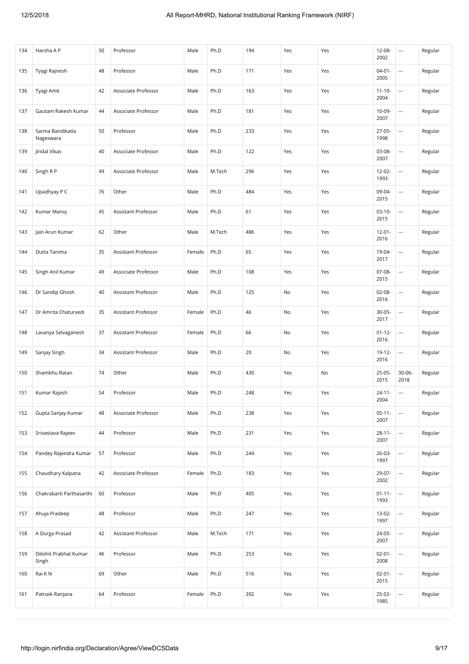| 134 | Harsha A P                     | 50 | Professor                  | Male   | Ph.D   | 194 | Yes | Yes | 12-08-<br>2002      | $\hspace{0.05cm} \ldots$ | Regular |
|-----|--------------------------------|----|----------------------------|--------|--------|-----|-----|-----|---------------------|--------------------------|---------|
| 135 | Tyagi Rajnesh                  | 48 | Professor                  | Male   | Ph.D   | 171 | Yes | Yes | $04 - 01 -$<br>2005 | $\overline{\phantom{a}}$ | Regular |
| 136 | Tyagi Amit                     | 42 | Associate Professor        | Male   | Ph.D   | 163 | Yes | Yes | $11 - 10 -$<br>2004 | $\overline{\phantom{a}}$ | Regular |
| 137 | Gautam Rakesh Kumar            | 44 | Associate Professor        | Male   | Ph.D   | 181 | Yes | Yes | 10-09-<br>2007      | $\overline{\phantom{a}}$ | Regular |
| 138 | Sarma Bandikatla<br>Nageswara  | 50 | Professor                  | Male   | Ph.D   | 233 | Yes | Yes | 27-05-<br>1998      | $\overline{\phantom{a}}$ | Regular |
| 139 | Jindal Vikas                   | 40 | Associate Professor        | Male   | Ph.D   | 122 | Yes | Yes | 03-08-<br>2007      | $\overline{\phantom{a}}$ | Regular |
| 140 | Singh R P                      | 49 | Associate Professor        | Male   | M.Tech | 296 | Yes | Yes | 12-02-<br>1993      | $\overline{\phantom{a}}$ | Regular |
| 141 | Upadhyay P C                   | 76 | Other                      | Male   | Ph.D   | 484 | Yes | Yes | 09-04-<br>2015      |                          | Regular |
| 142 | Kumar Manoj                    | 45 | Assistant Professor        | Male   | Ph.D   | 61  | Yes | Yes | $03-10-$<br>2015    | $\overline{\phantom{a}}$ | Regular |
| 143 | Jain Arun Kumar                | 62 | Other                      | Male   | M.Tech | 486 | Yes | Yes | $12 - 01 -$<br>2016 | ---                      | Regular |
| 144 | Dutta Tanima                   | 35 | <b>Assistant Professor</b> | Female | Ph.D   | 65  | Yes | Yes | 19-04-<br>2017      | ---                      | Regular |
| 145 | Singh Anil Kumar               | 49 | Associate Professor        | Male   | Ph.D   | 108 | Yes | Yes | 07-08-<br>2015      | $\overline{\phantom{a}}$ | Regular |
| 146 | Dr Sandip Ghosh                | 40 | Assistant Professor        | Male   | Ph.D   | 125 | No  | Yes | $02 - 08 -$<br>2016 | $\overline{\phantom{a}}$ | Regular |
| 147 | Dr Amrita Chaturvedi           | 35 | Assistant Professor        | Female | Ph.D   | 46  | No  | Yes | $30 - 05 -$<br>2017 | ---                      | Regular |
| 148 | Lavanya Selvaganesh            | 37 | Assistant Professor        | Female | Ph.D   | 66  | No  | Yes | $01 - 12 -$<br>2016 | $\overline{\phantom{a}}$ | Regular |
| 149 | Sanjay Singh                   | 34 | Assistant Professor        | Male   | Ph.D   | 20  | No  | Yes | 19-12-<br>2016      | $\overline{\phantom{a}}$ | Regular |
| 150 | Shambhu Ratan                  | 74 | Other                      | Male   | Ph.D   | 430 | Yes | No  | $25-05-$<br>2015    | 30-06-<br>2018           | Regular |
| 151 | Kumar Rajesh                   | 54 | Professor                  | Male   | Ph.D   | 248 | Yes | Yes | $24 - 11 -$<br>2004 | $\overline{a}$           | Regular |
| 152 | Gupta Sanjay Kumar             | 48 | Associate Professor        | Male   | Ph.D   | 238 | Yes | Yes | $05-11-$<br>2007    | $\overline{\phantom{a}}$ | Regular |
| 153 | Srivastava Rajeev              | 44 | Professor                  | Male   | Ph.D   | 231 | Yes | Yes | $28 - 11 -$<br>2007 |                          | Regular |
| 154 | Pandey Rajendra Kumar          | 57 | Professor                  | Male   | Ph.D   | 244 | Yes | Yes | 26-03-<br>1997      |                          | Regular |
| 155 | Chaudhary Kalpana              | 42 | Associate Professor        | Female | Ph.D   | 183 | Yes | Yes | 29-07-<br>2002      | $\overline{\phantom{a}}$ | Regular |
| 156 | Chakrabarti Parthasarthi       | 60 | Professor                  | Male   | Ph.D   | 405 | Yes | Yes | $01 - 11 -$<br>1993 | $\overline{\phantom{a}}$ | Regular |
| 157 | Ahuja Pradeep                  | 48 | Professor                  | Male   | Ph.D   | 247 | Yes | Yes | $13-02-$<br>1997    |                          | Regular |
| 158 | A Durga Prasad                 | 42 | Assistant Professor        | Male   | M.Tech | 171 | Yes | Yes | 24-05-<br>2007      | $\overline{\phantom{a}}$ | Regular |
| 159 | Dikshit Prabhat Kumar<br>Singh | 46 | Professor                  | Male   | Ph.D   | 253 | Yes | Yes | $02 - 01 -$<br>2008 | $\overline{\phantom{a}}$ | Regular |
| 160 | Rai K N                        | 69 | Other                      | Male   | Ph.D   | 516 | Yes | Yes | $02 - 01 -$<br>2015 | $\overline{\phantom{a}}$ | Regular |
| 161 | Patnaik Ranjana                | 64 | Professor                  | Female | Ph.D   | 392 | Yes | Yes | 25-02-<br>1985      |                          | Regular |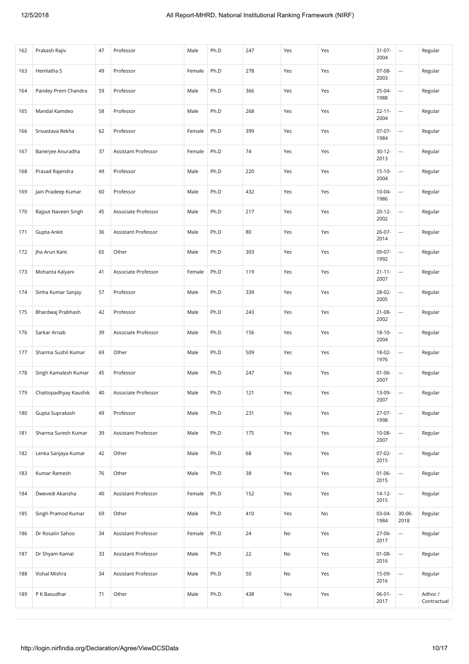| 162 | Prakash Rajiv         | 47 | Professor                  | Male   | Ph.D | 247 | Yes | Yes | $31 - 07 -$<br>2004 | $\overline{\phantom{a}}$ | Regular                |
|-----|-----------------------|----|----------------------------|--------|------|-----|-----|-----|---------------------|--------------------------|------------------------|
| 163 | Hemlatha S            | 49 | Professor                  | Female | Ph.D | 278 | Yes | Yes | 07-08-<br>2003      | $\overline{\phantom{a}}$ | Regular                |
| 164 | Pandey Prem Chandra   | 59 | Professor                  | Male   | Ph.D | 366 | Yes | Yes | 25-04-<br>1988      | $\overline{\phantom{a}}$ | Regular                |
| 165 | Mandal Kamdeo         | 58 | Professor                  | Male   | Ph.D | 268 | Yes | Yes | $22 - 11 -$<br>2004 | $\hspace{0.05cm} \ldots$ | Regular                |
| 166 | Srivastava Rekha      | 62 | Professor                  | Female | Ph.D | 399 | Yes | Yes | $07-07-$<br>1984    |                          | Regular                |
| 167 | Banerjee Anuradha     | 37 | <b>Assistant Professor</b> | Female | Ph.D | 74  | Yes | Yes | $30-12-$<br>2013    | $\overline{\phantom{a}}$ | Regular                |
| 168 | Prasad Rajendra       | 49 | Professor                  | Male   | Ph.D | 220 | Yes | Yes | $15 - 10 -$<br>2004 | $\overline{\phantom{a}}$ | Regular                |
| 169 | Jain Pradeep Kumar    | 60 | Professor                  | Male   | Ph.D | 432 | Yes | Yes | $10-04-$<br>1986    |                          | Regular                |
| 170 | Rajput Naveen Singh   | 45 | Associate Professor        | Male   | Ph.D | 217 | Yes | Yes | $20 - 12 -$<br>2002 | $\overline{\phantom{a}}$ | Regular                |
| 171 | Gupta Ankit           | 36 | Assistant Professor        | Male   | Ph.D | 80  | Yes | Yes | $26-07-$<br>2014    | $\overline{\phantom{a}}$ | Regular                |
| 172 | Jha Arun Kant         | 65 | Other                      | Male   | Ph.D | 303 | Yes | Yes | 09-07-<br>1992      | $\overline{\phantom{a}}$ | Regular                |
| 173 | Mohanta Kalyani       | 41 | Associate Professor        | Female | Ph.D | 119 | Yes | Yes | $21 - 11 -$<br>2007 | $\overline{\phantom{a}}$ | Regular                |
| 174 | Sinha Kumar Sanjay    | 57 | Professor                  | Male   | Ph.D | 339 | Yes | Yes | 28-02-<br>2005      | $\overline{\phantom{a}}$ | Regular                |
| 175 | Bhardwaj Prabhash     | 42 | Professor                  | Male   | Ph.D | 243 | Yes | Yes | $21 - 08 -$<br>2002 | $\overline{\phantom{a}}$ | Regular                |
| 176 | Sarkar Arnab          | 39 | Associate Professor        | Male   | Ph.D | 156 | Yes | Yes | $18-10-$<br>2004    | $\overline{\phantom{a}}$ | Regular                |
| 177 | Sharma Sushil Kumar   | 69 | Other                      | Male   | Ph.D | 509 | Yes | Yes | 18-02-<br>1976      | $\overline{\phantom{a}}$ | Regular                |
| 178 | Singh Kamalesh Kumar  | 45 | Professor                  | Male   | Ph.D | 247 | Yes | Yes | $01 - 06 -$<br>2007 | $\overline{\phantom{a}}$ | Regular                |
| 179 | Chattopadhyay Kaushik | 40 | Associate Professor        | Male   | Ph.D | 121 | Yes | Yes | 13-09-<br>2007      | $\overline{\phantom{a}}$ | Regular                |
| 180 | Gupta Suprakash       | 49 | Professor                  | Male   | Ph.D | 231 | Yes | Yes | 27-07-<br>1998      | $\overline{\phantom{a}}$ | Regular                |
| 181 | Sharma Suresh Kumar   | 39 | Assistant Professor        | Male   | Ph.D | 175 | Yes | Yes | $10 - 08 -$<br>2007 |                          | Regular                |
| 182 | Lenka Sanjaya Kumar   | 42 | Other                      | Male   | Ph.D | 68  | Yes | Yes | $07-02-$<br>2015    |                          | Regular                |
| 183 | Kumar Ramesh          | 76 | Other                      | Male   | Ph.D | 38  | Yes | Yes | $01 - 06 -$<br>2015 | $\overline{\phantom{a}}$ | Regular                |
| 184 | Dwevedi Akansha       | 40 | Assistant Professor        | Female | Ph.D | 152 | Yes | Yes | $14 - 12 -$<br>2015 | $\overline{\phantom{a}}$ | Regular                |
| 185 | Singh Pramod Kumar    | 69 | Other                      | Male   | Ph.D | 410 | Yes | No  | 03-04-<br>1984      | $30 - 06 -$<br>2018      | Regular                |
| 186 | Dr Rosalin Sahoo      | 34 | Assistant Professor        | Female | Ph.D | 24  | No  | Yes | 27-06-<br>2017      | $\overline{\phantom{a}}$ | Regular                |
| 187 | Dr Shyam Kamal        | 33 | Assistant Professor        | Male   | Ph.D | 22  | No  | Yes | $01 - 08 -$<br>2016 | $\overline{\phantom{a}}$ | Regular                |
| 188 | Vishal Mishra         | 34 | Assistant Professor        | Male   | Ph.D | 50  | No  | Yes | 15-09-<br>2016      | $\hspace{0.05cm} \ldots$ | Regular                |
| 189 | P K Basudhar          | 71 | Other                      | Male   | Ph.D | 438 | Yes | Yes | $06 - 01 -$<br>2017 | $\overline{\phantom{a}}$ | Adhoc /<br>Contractual |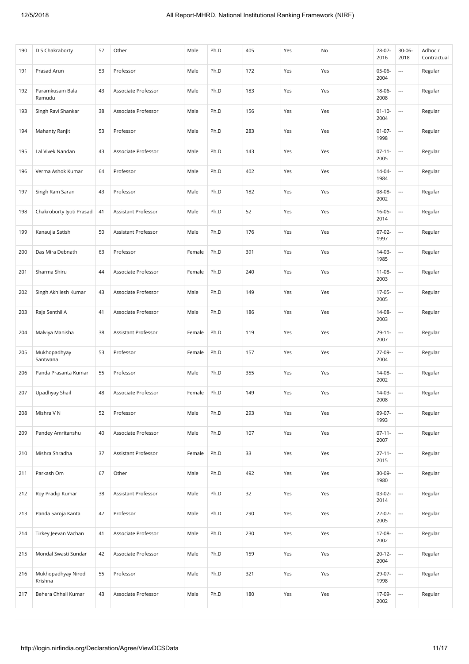| 190 | D S Chakraborty               | 57 | Other               | Male   | Ph.D | 405 | Yes | No  | 28-07-<br>2016      | $30 - 06 -$<br>2018      | Adhoc /<br>Contractual |
|-----|-------------------------------|----|---------------------|--------|------|-----|-----|-----|---------------------|--------------------------|------------------------|
| 191 | Prasad Arun                   | 53 | Professor           | Male   | Ph.D | 172 | Yes | Yes | 05-06-<br>2004      | $\overline{\phantom{a}}$ | Regular                |
| 192 | Paramkusam Bala<br>Ramudu     | 43 | Associate Professor | Male   | Ph.D | 183 | Yes | Yes | 18-06-<br>2008      | $\overline{\phantom{a}}$ | Regular                |
| 193 | Singh Ravi Shankar            | 38 | Associate Professor | Male   | Ph.D | 156 | Yes | Yes | $01 - 10 -$<br>2004 | $\overline{\phantom{a}}$ | Regular                |
| 194 | Mahanty Ranjit                | 53 | Professor           | Male   | Ph.D | 283 | Yes | Yes | $01 - 07 -$<br>1998 | $\overline{\phantom{a}}$ | Regular                |
| 195 | Lal Vivek Nandan              | 43 | Associate Professor | Male   | Ph.D | 143 | Yes | Yes | $07 - 11 -$<br>2005 | $\overline{\phantom{a}}$ | Regular                |
| 196 | Verma Ashok Kumar             | 64 | Professor           | Male   | Ph.D | 402 | Yes | Yes | $14 - 04 -$<br>1984 | $\overline{\phantom{a}}$ | Regular                |
| 197 | Singh Ram Saran               | 43 | Professor           | Male   | Ph.D | 182 | Yes | Yes | 08-08-<br>2002      | $\overline{\phantom{a}}$ | Regular                |
| 198 | Chakroborty Jyoti Prasad      | 41 | Assistant Professor | Male   | Ph.D | 52  | Yes | Yes | $16 - 05 -$<br>2014 | $\overline{\phantom{a}}$ | Regular                |
| 199 | Kanaujia Satish               | 50 | Assistant Professor | Male   | Ph.D | 176 | Yes | Yes | $07-02-$<br>1997    | $\overline{\phantom{a}}$ | Regular                |
| 200 | Das Mira Debnath              | 63 | Professor           | Female | Ph.D | 391 | Yes | Yes | $14-03-$<br>1985    | ---                      | Regular                |
| 201 | Sharma Shiru                  | 44 | Associate Professor | Female | Ph.D | 240 | Yes | Yes | $11 - 08 -$<br>2003 | ---                      | Regular                |
| 202 | Singh Akhilesh Kumar          | 43 | Associate Professor | Male   | Ph.D | 149 | Yes | Yes | 17-05-<br>2005      | $\overline{\phantom{a}}$ | Regular                |
| 203 | Raja Senthil A                | 41 | Associate Professor | Male   | Ph.D | 186 | Yes | Yes | 14-08-<br>2003      | $\overline{\phantom{a}}$ | Regular                |
| 204 | Malviya Manisha               | 38 | Assistant Professor | Female | Ph.D | 119 | Yes | Yes | $29 - 11 -$<br>2007 | $\overline{\phantom{a}}$ | Regular                |
| 205 | Mukhopadhyay<br>Santwana      | 53 | Professor           | Female | Ph.D | 157 | Yes | Yes | 27-09-<br>2004      | $\overline{\phantom{a}}$ | Regular                |
| 206 | Panda Prasanta Kumar          | 55 | Professor           | Male   | Ph.D | 355 | Yes | Yes | 14-08-<br>2002      | $\overline{\phantom{a}}$ | Regular                |
| 207 | Upadhyay Shail                | 48 | Associate Professor | Female | Ph.D | 149 | Yes | Yes | $14-03-$<br>2008    | $\overline{\phantom{a}}$ | Regular                |
| 208 | Mishra V N                    | 52 | Professor           | Male   | Ph.D | 293 | Yes | Yes | 09-07-<br>1993      | $\overline{\phantom{a}}$ | Regular                |
| 209 | Pandey Amritanshu             | 40 | Associate Professor | Male   | Ph.D | 107 | Yes | Yes | $07 - 11 -$<br>2007 |                          | Regular                |
| 210 | Mishra Shradha                | 37 | Assistant Professor | Female | Ph.D | 33  | Yes | Yes | $27 - 11 -$<br>2015 |                          | Regular                |
| 211 | Parkash Om                    | 67 | Other               | Male   | Ph.D | 492 | Yes | Yes | $30-09-$<br>1980    | $\overline{\phantom{a}}$ | Regular                |
| 212 | Roy Pradip Kumar              | 38 | Assistant Professor | Male   | Ph.D | 32  | Yes | Yes | $03-02-$<br>2014    | ---                      | Regular                |
| 213 | Panda Saroja Kanta            | 47 | Professor           | Male   | Ph.D | 290 | Yes | Yes | $22-07-$<br>2005    |                          | Regular                |
| 214 | Tirkey Jeevan Vachan          | 41 | Associate Professor | Male   | Ph.D | 230 | Yes | Yes | 17-08-<br>2002      | $\overline{\phantom{a}}$ | Regular                |
| 215 | Mondal Swasti Sundar          | 42 | Associate Professor | Male   | Ph.D | 159 | Yes | Yes | $20 - 12 -$<br>2004 | $\overline{\phantom{a}}$ | Regular                |
| 216 | Mukhopadhyay Nirod<br>Krishna | 55 | Professor           | Male   | Ph.D | 321 | Yes | Yes | 29-07-<br>1998      | ---                      | Regular                |
| 217 | Behera Chhail Kumar           | 43 | Associate Professor | Male   | Ph.D | 180 | Yes | Yes | 17-09-<br>2002      | $\overline{\phantom{a}}$ | Regular                |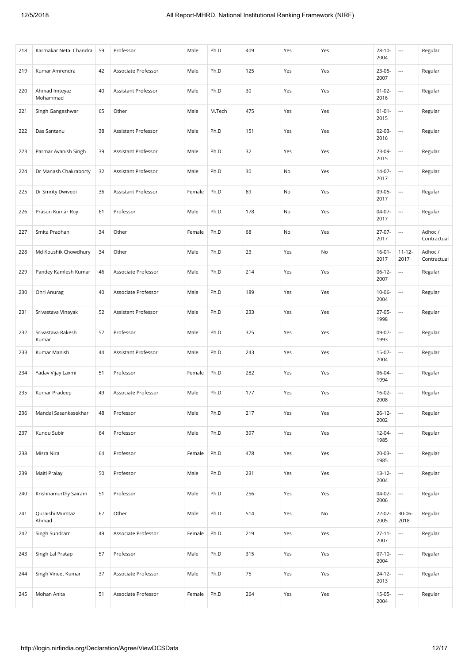| 218 | Karmakar Netai Chandra     | 59 | Professor           | Male   | Ph.D   | 409 | Yes | Yes | $28 - 10 -$<br>2004 | $\hspace{0.05cm} \cdots$ | Regular                |
|-----|----------------------------|----|---------------------|--------|--------|-----|-----|-----|---------------------|--------------------------|------------------------|
| 219 | Kumar Amrendra             | 42 | Associate Professor | Male   | Ph.D   | 125 | Yes | Yes | $23-05-$<br>2007    | ---                      | Regular                |
| 220 | Ahmad Imteyaz<br>Mohammad  | 40 | Assistant Professor | Male   | Ph.D   | 30  | Yes | Yes | $01 - 02 -$<br>2016 | ---                      | Regular                |
| 221 | Singh Gangeshwar           | 65 | Other               | Male   | M.Tech | 475 | Yes | Yes | $01 - 01 -$<br>2015 | ---                      | Regular                |
| 222 | Das Santanu                | 38 | Assistant Professor | Male   | Ph.D   | 151 | Yes | Yes | $02 - 03 -$<br>2016 | ---                      | Regular                |
| 223 | Parmar Avanish Singh       | 39 | Assistant Professor | Male   | Ph.D   | 32  | Yes | Yes | 23-09-<br>2015      | ---                      | Regular                |
| 224 | Dr Manash Chakraborty      | 32 | Assistant Professor | Male   | Ph.D   | 30  | No  | Yes | 14-07-<br>2017      | $\overline{\phantom{a}}$ | Regular                |
| 225 | Dr Smrity Dwivedi          | 36 | Assistant Professor | Female | Ph.D   | 69  | No  | Yes | 09-05-<br>2017      | $\overline{\phantom{a}}$ | Regular                |
| 226 | Prasun Kumar Roy           | 61 | Professor           | Male   | Ph.D   | 178 | No  | Yes | $04-07-$<br>2017    | $\overline{\phantom{a}}$ | Regular                |
| 227 | Smita Pradhan              | 34 | Other               | Female | Ph.D   | 68  | No  | Yes | $27-07-$<br>2017    | $\overline{a}$           | Adhoc /<br>Contractual |
| 228 | Md Koushik Chowdhury       | 34 | Other               | Male   | Ph.D   | 23  | Yes | No  | $16 - 01 -$<br>2017 | $11 - 12 -$<br>2017      | Adhoc /<br>Contractual |
| 229 | Pandey Kamlesh Kumar       | 46 | Associate Professor | Male   | Ph.D   | 214 | Yes | Yes | $06-12-$<br>2007    |                          | Regular                |
| 230 | Ohri Anurag                | 40 | Associate Professor | Male   | Ph.D   | 189 | Yes | Yes | $10 - 06 -$<br>2004 | ---                      | Regular                |
| 231 | Srivastava Vinayak         | 52 | Assistant Professor | Male   | Ph.D   | 233 | Yes | Yes | $27-05-$<br>1998    | ---                      | Regular                |
| 232 | Srivastava Rakesh<br>Kumar | 57 | Professor           | Male   | Ph.D   | 375 | Yes | Yes | 09-07-<br>1993      | $\overline{\phantom{a}}$ | Regular                |
| 233 | Kumar Manish               | 44 | Assistant Professor | Male   | Ph.D   | 243 | Yes | Yes | $15-07-$<br>2004    | $\overline{\phantom{a}}$ | Regular                |
| 234 | Yadav Vijay Laxmi          | 51 | Professor           | Female | Ph.D   | 282 | Yes | Yes | 06-04-<br>1994      | $\overline{\phantom{a}}$ | Regular                |
| 235 | Kumar Pradeep              | 49 | Associate Professor | Male   | Ph.D   | 177 | Yes | Yes | $16 - 02 -$<br>2008 | $\overline{a}$           | Regular                |
| 236 | Mandal Sasankasekhar       | 48 | Professor           | Male   | Ph.D   | 217 | Yes | Yes | $26 - 12 -$<br>2002 | $\overline{\phantom{a}}$ | Regular                |
| 237 | Kundu Subir                | 64 | Professor           | Male   | Ph.D   | 397 | Yes | Yes | 12-04-<br>1985      | $\hspace{0.05cm} \ldots$ | Regular                |
| 238 | Misra Nira                 | 64 | Professor           | Female | Ph.D   | 478 | Yes | Yes | $20-03-$<br>1985    | $\overline{\phantom{a}}$ | Regular                |
| 239 | Maiti Pralay               | 50 | Professor           | Male   | Ph.D   | 231 | Yes | Yes | $13 - 12 -$<br>2004 | ---                      | Regular                |
| 240 | Krishnamurthy Sairam       | 51 | Professor           | Male   | Ph.D   | 256 | Yes | Yes | 04-02-<br>2006      | ---                      | Regular                |
| 241 | Quraishi Mumtaz<br>Ahmad   | 67 | Other               | Male   | Ph.D   | 514 | Yes | No  | 22-02-<br>2005      | $30 - 06 -$<br>2018      | Regular                |
| 242 | Singh Sundram              | 49 | Associate Professor | Female | Ph.D   | 219 | Yes | Yes | $27 - 11 -$<br>2007 | ---                      | Regular                |
| 243 | Singh Lal Pratap           | 57 | Professor           | Male   | Ph.D   | 315 | Yes | Yes | $07-10-$<br>2004    | $\overline{\phantom{a}}$ | Regular                |
| 244 | Singh Vineet Kumar         | 37 | Associate Professor | Male   | Ph.D   | 75  | Yes | Yes | 24-12-<br>2013      | $\hspace{0.05cm} \ldots$ | Regular                |
| 245 | Mohan Anita                | 51 | Associate Professor | Female | Ph.D   | 264 | Yes | Yes | $15-05-$<br>2004    |                          | Regular                |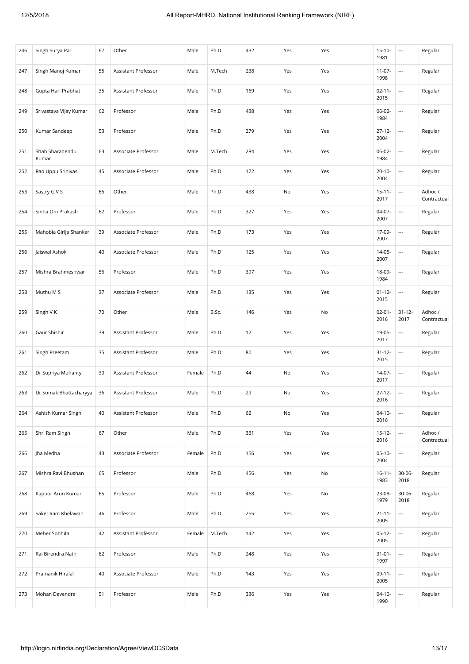| 246 | Singh Surya Pal          | 67 | Other               | Male   | Ph.D   | 432 | Yes | Yes | $15-10-$<br>1981    | $\hspace{0.05cm} \cdots$ | Regular                |
|-----|--------------------------|----|---------------------|--------|--------|-----|-----|-----|---------------------|--------------------------|------------------------|
| 247 | Singh Manoj Kumar        | 55 | Assistant Professor | Male   | M.Tech | 238 | Yes | Yes | $11-07-$<br>1998    | ---                      | Regular                |
| 248 | Gupta Hari Prabhat       | 35 | Assistant Professor | Male   | Ph.D   | 169 | Yes | Yes | $02 - 11 -$<br>2015 | $\overline{\phantom{a}}$ | Regular                |
| 249 | Srivastava Vijay Kumar   | 62 | Professor           | Male   | Ph.D   | 438 | Yes | Yes | 06-02-<br>1984      | $\overline{\phantom{a}}$ | Regular                |
| 250 | Kumar Sandeep            | 53 | Professor           | Male   | Ph.D   | 279 | Yes | Yes | $27 - 12 -$<br>2004 | ---                      | Regular                |
| 251 | Shah Sharadendu<br>Kumar | 63 | Associate Professor | Male   | M.Tech | 284 | Yes | Yes | 06-02-<br>1984      | $\overline{\phantom{a}}$ | Regular                |
| 252 | Rao Uppu Srinivas        | 45 | Associate Professor | Male   | Ph.D   | 172 | Yes | Yes | $20 - 10 -$<br>2004 | $\hspace{0.05cm} \ldots$ | Regular                |
| 253 | Sastry G V S             | 66 | Other               | Male   | Ph.D   | 438 | No  | Yes | $15 - 11 -$<br>2017 | $\hspace{0.05cm} \ldots$ | Adhoc /<br>Contractual |
| 254 | Sinha Om Prakash         | 62 | Professor           | Male   | Ph.D   | 327 | Yes | Yes | $04-07-$<br>2007    | $\overline{\phantom{a}}$ | Regular                |
| 255 | Mahobia Girija Shankar   | 39 | Associate Professor | Male   | Ph.D   | 173 | Yes | Yes | 17-09-<br>2007      | $\hspace{0.05cm} \ldots$ | Regular                |
| 256 | Jaiswal Ashok            | 40 | Associate Professor | Male   | Ph.D   | 125 | Yes | Yes | $14 - 05 -$<br>2007 | $\hspace{0.05cm} \ldots$ | Regular                |
| 257 | Mishra Brahmeshwar       | 56 | Professor           | Male   | Ph.D   | 397 | Yes | Yes | 18-09-<br>1984      | $\hspace{0.05cm} \ldots$ | Regular                |
| 258 | Muthu M S                | 37 | Associate Professor | Male   | Ph.D   | 135 | Yes | Yes | $01 - 12 -$<br>2015 | $\overline{\phantom{a}}$ | Regular                |
| 259 | Singh V K                | 70 | Other               | Male   | B.Sc.  | 146 | Yes | No  | $02 - 01 -$<br>2016 | $31 - 12 -$<br>2017      | Adhoc /<br>Contractual |
| 260 | Gaur Shishir             | 39 | Assistant Professor | Male   | Ph.D   | 12  | Yes | Yes | 19-05-<br>2017      | $\hspace{0.05cm} \cdots$ | Regular                |
| 261 | Singh Preetam            | 35 | Assistant Professor | Male   | Ph.D   | 80  | Yes | Yes | $31 - 12 -$<br>2015 | $\hspace{0.05cm} \ldots$ | Regular                |
| 262 | Dr Supriya Mohanty       | 30 | Assistant Professor | Female | Ph.D   | 44  | No  | Yes | 14-07-<br>2017      | $\overline{a}$           | Regular                |
| 263 | Dr Somak Bhattacharyya   | 36 | Assistant Professor | Male   | Ph.D   | 29  | No  | Yes | $27-12-$<br>2016    | $\overline{a}$           | Regular                |
| 264 | Ashish Kumar Singh       | 40 | Assistant Professor | Male   | Ph.D   | 62  | No  | Yes | $04-10-$<br>2016    | $\hspace{0.05cm} \ldots$ | Regular                |
| 265 | Shri Ram Singh           | 67 | Other               | Male   | Ph.D   | 331 | Yes | Yes | $15 - 12 -$<br>2016 | $\overline{\phantom{a}}$ | Adhoc /<br>Contractual |
| 266 | Jha Medha                | 43 | Associate Professor | Female | Ph.D   | 156 | Yes | Yes | $05-10-$<br>2004    | $\overline{\phantom{a}}$ | Regular                |
| 267 | Mishra Ravi Bhushan      | 65 | Professor           | Male   | Ph.D   | 456 | Yes | No  | $16 - 11 -$<br>1983 | $30 - 06 -$<br>2018      | Regular                |
| 268 | Kapoor Arun Kumar        | 65 | Professor           | Male   | Ph.D   | 468 | Yes | No  | 23-08-<br>1979      | $30 - 06 -$<br>2018      | Regular                |
| 269 | Saket Ram Khelawan       | 46 | Professor           | Male   | Ph.D   | 255 | Yes | Yes | $21 - 11 -$<br>2005 | $\hspace{0.05cm} \ldots$ | Regular                |
| 270 | Meher Sobhita            | 42 | Assistant Professor | Female | M.Tech | 142 | Yes | Yes | $05-12-$<br>2005    | $\overline{\phantom{a}}$ | Regular                |
| 271 | Rai Birendra Nath        | 62 | Professor           | Male   | Ph.D   | 248 | Yes | Yes | $31 - 01 -$<br>1997 | $\hspace{0.05cm} \ldots$ | Regular                |
| 272 | Pramanik Hiralal         | 40 | Associate Professor | Male   | Ph.D   | 143 | Yes | Yes | $09-11-$<br>2005    | $\hspace{0.05cm} \ldots$ | Regular                |
| 273 | Mohan Devendra           | 51 | Professor           | Male   | Ph.D   | 336 | Yes | Yes | $04-10-$<br>1990    | $\overline{\phantom{a}}$ | Regular                |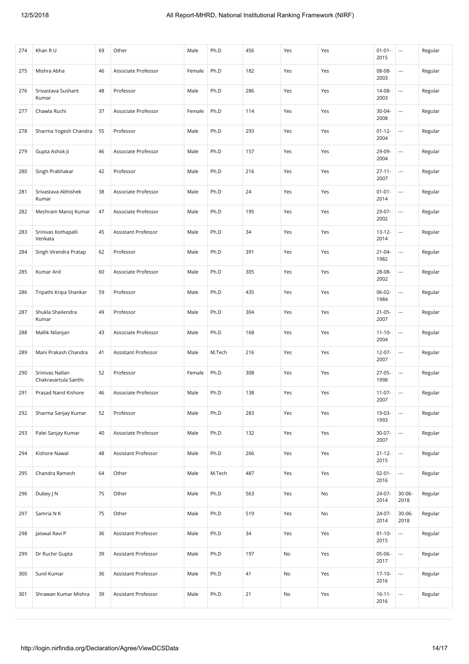| 274 | Khan R U                                | 69 | Other               | Male   | Ph.D   | 456 | Yes | Yes | $01 - 01 -$<br>2015 | $\hspace{0.05cm} \ldots$ | Regular |
|-----|-----------------------------------------|----|---------------------|--------|--------|-----|-----|-----|---------------------|--------------------------|---------|
| 275 | Mishra Abha                             | 46 | Associate Professor | Female | Ph.D   | 182 | Yes | Yes | 08-08-<br>2003      | ---                      | Regular |
| 276 | Srivastava Sushant<br>Kumar             | 48 | Professor           | Male   | Ph.D   | 286 | Yes | Yes | 14-08-<br>2003      | $\overline{\phantom{a}}$ | Regular |
| 277 | Chawla Ruchi                            | 37 | Associate Professor | Female | Ph.D   | 114 | Yes | Yes | 30-04-<br>2008      | $\overline{\phantom{a}}$ | Regular |
| 278 | Sharma Yogesh Chandra                   | 55 | Professor           | Male   | Ph.D   | 293 | Yes | Yes | $01 - 12 -$<br>2004 | $\overline{\phantom{a}}$ | Regular |
| 279 | Gupta Ashok Ji                          | 46 | Associate Professor | Male   | Ph.D   | 157 | Yes | Yes | 29-09-<br>2004      | $\overline{a}$           | Regular |
| 280 | Singh Prabhakar                         | 42 | Professor           | Male   | Ph.D   | 216 | Yes | Yes | $27 - 11 -$<br>2007 | $\overline{\phantom{a}}$ | Regular |
| 281 | Srivastava Abhishek<br>Kumar            | 38 | Associate Professor | Male   | Ph.D   | 24  | Yes | Yes | $01 - 01 -$<br>2014 | $\overline{\phantom{a}}$ | Regular |
| 282 | Meshram Manoj Kumar                     | 47 | Associate Professor | Male   | Ph.D   | 195 | Yes | Yes | 29-07-<br>2002      | ---                      | Regular |
| 283 | Srinivas Kothapalli<br>Venkata          | 45 | Assistant Professor | Male   | Ph.D   | 34  | Yes | Yes | $13 - 12 -$<br>2014 | $\overline{\phantom{a}}$ | Regular |
| 284 | Singh Virendra Pratap                   | 62 | Professor           | Male   | Ph.D   | 391 | Yes | Yes | $21 - 04 -$<br>1982 |                          | Regular |
| 285 | Kumar Anil                              | 60 | Associate Professor | Male   | Ph.D   | 305 | Yes | Yes | 28-08-<br>2002      | $\overline{\phantom{a}}$ | Regular |
| 286 | Tripathi Kripa Shankar                  | 59 | Professor           | Male   | Ph.D   | 435 | Yes | Yes | 06-02-<br>1984      | ---                      | Regular |
| 287 | Shukla Shailendra<br>Kumar              | 49 | Professor           | Male   | Ph.D   | 304 | Yes | Yes | $21 - 05 -$<br>2007 | ---                      | Regular |
| 288 | Mallik Nilanjan                         | 43 | Associate Professor | Male   | Ph.D   | 168 | Yes | Yes | $11 - 10 -$<br>2004 | $\overline{\phantom{a}}$ | Regular |
| 289 | Mani Prakash Chandra                    | 41 | Assistant Professor | Male   | M.Tech | 216 | Yes | Yes | $12 - 07 -$<br>2007 | $\hspace{0.05cm} \ldots$ | Regular |
| 290 | Srinivas Nallan<br>Chakravartula Santhi | 52 | Professor           | Female | Ph.D   | 308 | Yes | Yes | 27-05-<br>1998      | $\overline{a}$           | Regular |
| 291 | Prasad Nand Kishore                     | 46 | Associate Professor | Male   | Ph.D   | 138 | Yes | Yes | $11-07-$<br>2007    | $\overline{\phantom{a}}$ | Regular |
| 292 | Sharma Sanjay Kumar                     | 52 | Professor           | Male   | Ph.D   | 283 | Yes | Yes | 19-03-<br>1993      |                          | Regular |
| 293 | Palei Sanjay Kumar                      | 40 | Associate Professor | Male   | Ph.D   | 132 | Yes | Yes | $30-07 -$<br>2007   | $\hspace{0.05cm} \ldots$ | Regular |
| 294 | Kishore Nawal                           | 48 | Assistant Professor | Male   | Ph.D   | 266 | Yes | Yes | $21 - 12 -$<br>2015 | $\overline{\phantom{a}}$ | Regular |
| 295 | Chandra Ramesh                          | 64 | Other               | Male   | M.Tech | 487 | Yes | Yes | $02 - 01 -$<br>2016 | ---                      | Regular |
| 296 | Dubey J N                               | 75 | Other               | Male   | Ph.D   | 563 | Yes | No  | 24-07-<br>2014      | $30 - 06 -$<br>2018      | Regular |
| 297 | Samria N K                              | 75 | Other               | Male   | Ph.D   | 519 | Yes | No  | 24-07-<br>2014      | $30 - 06 -$<br>2018      | Regular |
| 298 | Jaiswal Ravi P                          | 36 | Assistant Professor | Male   | Ph.D   | 34  | Yes | Yes | $01 - 10 -$<br>2015 | $\overline{\phantom{a}}$ | Regular |
| 299 | Dr Ruchir Gupta                         | 39 | Assistant Professor | Male   | Ph.D   | 197 | No  | Yes | 05-06-<br>2017      | $\overline{\phantom{a}}$ | Regular |
| 300 | Sunil Kumar                             | 36 | Assistant Professor | Male   | Ph.D   | 41  | No  | Yes | $17-10-$<br>2016    | $\hspace{0.05cm} \ldots$ | Regular |
| 301 | Shrawan Kumar Mishra                    | 39 | Assistant Professor | Male   | Ph.D   | 21  | No  | Yes | $16 - 11 -$<br>2016 |                          | Regular |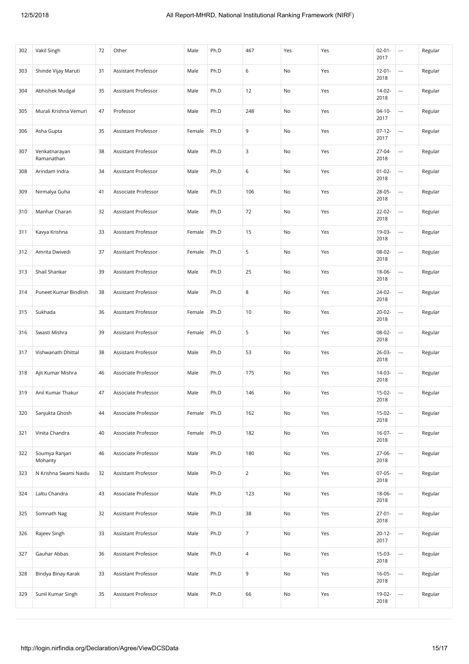| 302 | Vakil Singh                 | 72 | Other               | Male   | Ph.D | 467            | Yes | Yes | $02 - 01 -$<br>2017 | $\ldots$                 | Regular |
|-----|-----------------------------|----|---------------------|--------|------|----------------|-----|-----|---------------------|--------------------------|---------|
| 303 | Shinde Vijay Maruti         | 31 | Assistant Professor | Male   | Ph.D | 6              | No  | Yes | $12 - 01 -$<br>2018 | $\overline{\phantom{a}}$ | Regular |
| 304 | Abhishek Mudgal             | 35 | Assistant Professor | Male   | Ph.D | 12             | No  | Yes | $14 - 02 -$<br>2018 | $\overline{\phantom{a}}$ | Regular |
| 305 | Murali Krishna Vemuri       | 47 | Professor           | Male   | Ph.D | 248            | No  | Yes | $04-10-$<br>2017    | $\overline{\phantom{a}}$ | Regular |
| 306 | Asha Gupta                  | 35 | Assistant Professor | Female | Ph.D | 9              | No  | Yes | $07-12-$<br>2017    | $\overline{\phantom{a}}$ | Regular |
| 307 | Venkatnarayan<br>Ramanathan | 38 | Assistant Professor | Male   | Ph.D | 3              | No  | Yes | $27 - 04 -$<br>2018 | $\overline{\phantom{a}}$ | Regular |
| 308 | Arindam Indra               | 34 | Assistant Professor | Male   | Ph.D | 6              | No  | Yes | $01 - 02 -$<br>2018 | $\overline{\phantom{a}}$ | Regular |
| 309 | Nirmalya Guha               | 41 | Associate Professor | Male   | Ph.D | 106            | No  | Yes | 28-05-<br>2018      | $\overline{\phantom{a}}$ | Regular |
| 310 | Manhar Charan               | 32 | Assistant Professor | Male   | Ph.D | 72             | No  | Yes | $22 - 02 -$<br>2018 | $\overline{\phantom{a}}$ | Regular |
| 311 | Kavya Krishna               | 33 | Assistant Professor | Female | Ph.D | 15             | No  | Yes | 19-03-<br>2018      | $\overline{\phantom{a}}$ | Regular |
| 312 | Amrita Dwivedi              | 37 | Assistant Professor | Female | Ph.D | 5              | No  | Yes | 08-02-<br>2018      | $\overline{\phantom{a}}$ | Regular |
| 313 | Shail Shankar               | 39 | Assistant Professor | Male   | Ph.D | 25             | No  | Yes | 18-06-<br>2018      | $\overline{\phantom{a}}$ | Regular |
| 314 | Puneet Kumar Bindlish       | 38 | Assistant Professor | Male   | Ph.D | 8              | No  | Yes | 24-02-<br>2018      | $\overline{\phantom{a}}$ | Regular |
| 315 | Sukhada                     | 36 | Assistant Professor | Female | Ph.D | 10             | No  | Yes | $20-02-$<br>2018    | $\overline{\phantom{a}}$ | Regular |
| 316 | Swasti Mishra               | 39 | Assistant Professor | Female | Ph.D | 5              | No  | Yes | 08-02-<br>2018      | $\overline{\phantom{a}}$ | Regular |
| 317 | Vishwanath Dhittal          | 38 | Assistant Professor | Male   | Ph.D | 53             | No  | Yes | 26-03-<br>2018      | $\overline{\phantom{a}}$ | Regular |
| 318 | Ajit Kumar Mishra           | 46 | Associate Professor | Male   | Ph.D | 175            | No  | Yes | 14-03-<br>2018      | $\overline{\phantom{a}}$ | Regular |
| 319 | Anil Kumar Thakur           | 47 | Associate Professor | Male   | Ph.D | 146            | No  | Yes | 15-02-<br>2018      | $\overline{\phantom{a}}$ | Regular |
| 320 | Sanjukta Ghosh              | 44 | Associate Professor | Female | Ph.D | 162            | No  | Yes | 15-02-<br>2018      | $\overline{\phantom{a}}$ | Regular |
| 321 | Vinita Chandra              | 40 | Associate Professor | Female | Ph.D | 182            | No  | Yes | $16-07-$<br>2018    |                          | Regular |
| 322 | Soumya Ranjan<br>Mohanty    | 46 | Associate Professor | Male   | Ph.D | 180            | No  | Yes | 27-06-<br>2018      | $\overline{\phantom{a}}$ | Regular |
| 323 | N Krishna Swami Naidu       | 32 | Assistant Professor | Male   | Ph.D | $\overline{2}$ | No  | Yes | $07-05-$<br>2018    | $\overline{\phantom{a}}$ | Regular |
| 324 | Laltu Chandra               | 43 | Associate Professor | Male   | Ph.D | 123            | No  | Yes | 18-06-<br>2018      | ---                      | Regular |
| 325 | Somnath Nag                 | 32 | Assistant Professor | Male   | Ph.D | 38             | No  | Yes | $27 - 01 -$<br>2018 | $\overline{\phantom{a}}$ | Regular |
| 326 | Rajeev Singh                | 33 | Assistant Professor | Male   | Ph.D | $\overline{7}$ | No  | Yes | $20 - 12 -$<br>2017 | $\overline{\phantom{a}}$ | Regular |
| 327 | Gauhar Abbas                | 36 | Assistant Professor | Male   | Ph.D | $\overline{4}$ | No  | Yes | 15-03-<br>2018      | $\overline{\phantom{a}}$ | Regular |
| 328 | Bindya Binay Karak          | 33 | Assistant Professor | Male   | Ph.D | 9              | No  | Yes | $16-05-$<br>2018    | $\overline{\phantom{a}}$ | Regular |
| 329 | Sunil Kumar Singh           | 35 | Assistant Professor | Male   | Ph.D | 66             | No  | Yes | 19-02-<br>2018      |                          | Regular |